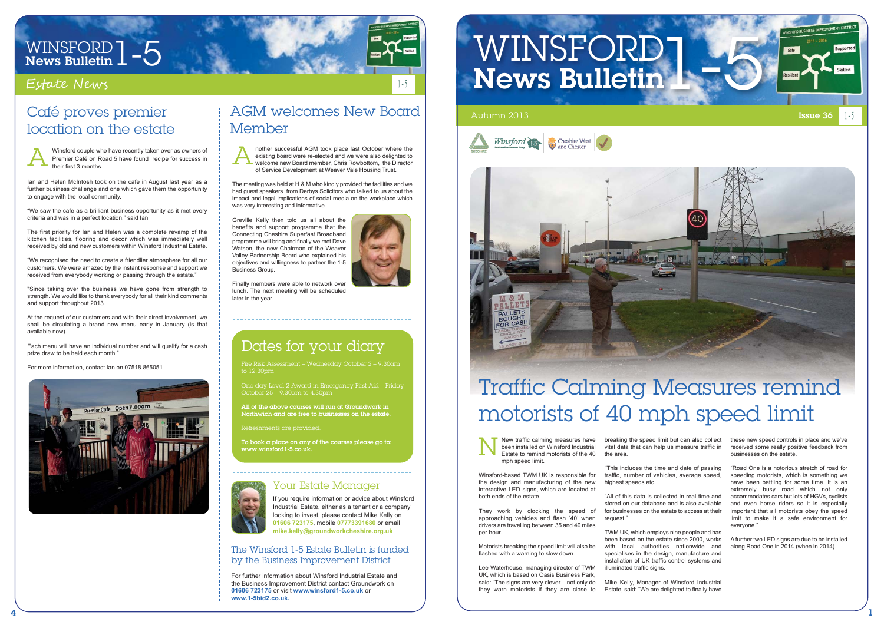

# WINSFORD  $1 - 5$ <br>News Bulletin  $1 - 5$

#### Estate News

The Winsford 1-5 Estate Bulletin is funded by the Business Improvement District

For further information about Winsford Industrial Estate and the Business Improvement District contact Groundwork on **01606 723175** or visit **www.winsford1-5.co.uk** or **www.1-5bid2.co.uk.**

# WINSFORD 1-5





#### Your Estate Manager

To book a place on any of the courses please go to:  $www.winsford1-5.co.u$ 



If you require information or advice about Winsford Industrial Estate, either as a tenant or a company looking to invest, please contact Mike Kelly on **01606 723175**, mobile **07773391680** or email **mike.kelly@groundworkcheshire.org.uk**

#### Dates for your diary

Fire Risk Assessment – Wednesday October 2 – 9.30am to 12.30pm

One day Level 2 Award in Emergency First Aid – Friday October 25 – 9.30am to 4.30pm

All of the above courses will run at Groundwork in Northwich and are free to businesses on the estate.

Refreshments are provided.

"All of this data is collected in real time and stored on our database and is also available for businesses on the estate to access at their request

New traffic calming measures have been installed on Winsford Industrial Estate to remind motorists of the 40 mph speed limit.

Winsford-based TWM UK is responsible for the design and manufacturing of the new interactive LED signs, which are located at both ends of the estate.

They work by clocking the speed of approaching vehicles and flash '40' when drivers are travelling between 35 and 40 miles per hour.

Motorists breaking the speed limit will also be flashed with a warning to slow down.

Lee Waterhouse, managing director of TWM UK, which is based on Oasis Business Park, said: "The signs are very clever – not only do they warn motorists if they are close to

breaking the speed limit but can also collect vital data that can help us measure traffic in the area.

"This includes the time and date of passing traffic, number of vehicles, average speed, highest speeds etc.

TWM UK, which employs nine people and has been based on the estate since 2000, works with local authorities nationwide and specialises in the design, manufacture and installation of UK traffic control systems and illuminated traffic signs.

Mike Kelly, Manager of Winsford Industrial Estate, said: "We are delighted to finally have these new speed controls in place and we've received some really positive feedback from businesses on the estate.

"Road One is a notorious stretch of road for speeding motorists, which is something we have been battling for some time. It is an extremely busy road which not only accommodates cars but lots of HGVs, cyclists and even horse riders so it is especially important that all motorists obey the speed limit to make it a safe environment for everyone."

A further two LED signs are due to be installed along Road One in 2014 (when in 2014).



## Traffic Calming Measures remind motorists of 40 mph speed limit

#### AGM welcomes New Board Member

The meeting was held at H & M who kindly provided the facilities and we had guest speakers from Derbys Solicitors who talked to us about the impact and legal implications of social media on the workplace which was very interesting and informative.

nother successful AGM took place last October where the existing board were re-elected and we were also delighted to welcome new Board member, Chris Rowbottom, the Director of Service Development at Weaver Vale Housing Trust. A

Greville Kelly then told us all about the benefits and support programme that the Connecting Cheshire Superfast Broadband programme will bring and finally we met Dave Watson, the new Chairman of the Weaver Valley Partnership Board who explained his objectives and willingness to partner the 1-5 Business Group.

Finally members were able to network over lunch. The next meeting will be scheduled later in the year.

#### Café proves premier location on the estate

Ian and Helen McIntosh took on the cafe in August last year as a further business challenge and one which gave them the opportunity to engage with the local community.

"We saw the cafe as a brilliant business opportunity as it met every criteria and was in a perfect location." said Ian

The first priority for Ian and Helen was a complete revamp of the kitchen facilities, flooring and decor which was immediately well received by old and new customers within Winsford Industrial Estate.

Winsford couple who have recently taken over as owners of Premier Café on Road 5 have found recipe for success in their first 3 months. A

"We recognised the need to create a friendlier atmosphere for all our customers. We were amazed by the instant response and support we received from everybody working or passing through the estate."

"Since taking over the business we have gone from strength to strength. We would like to thank everybody for all their kind comments and support throughout 2013.

At the request of our customers and with their direct involvement, we shall be circulating a brand new menu early in January (is that available now).

Each menu will have an individual number and will qualify for a cash prize draw to be held each month."

For more information, contact Ian on 07518 865051